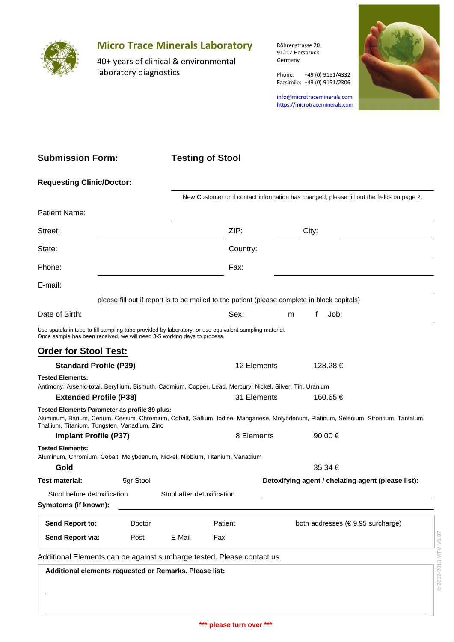

## **Micro Trace Minerals Laboratory**

40+ years of clinical & environmental laboratory diagnostics

Röhrenstrasse 20 91217 Hersbruck Germany

Phone: +49 (0) 9151/4332 Facsimile: +49 (0) 9151/2306

info@microtraceminerals.com <https://microtraceminerals.com>



## **Submission Form:**

## **Testing of Stool**

| <b>Requesting Clinic/Doctor:</b>                                                                                                                                                   |           |                            |                                                                                              |                                                                                           |                                                                                                                                      |  |  |  |  |
|------------------------------------------------------------------------------------------------------------------------------------------------------------------------------------|-----------|----------------------------|----------------------------------------------------------------------------------------------|-------------------------------------------------------------------------------------------|--------------------------------------------------------------------------------------------------------------------------------------|--|--|--|--|
|                                                                                                                                                                                    |           |                            |                                                                                              | New Customer or if contact information has changed, please fill out the fields on page 2. |                                                                                                                                      |  |  |  |  |
| Patient Name:                                                                                                                                                                      |           |                            |                                                                                              |                                                                                           |                                                                                                                                      |  |  |  |  |
| Street:                                                                                                                                                                            |           |                            |                                                                                              |                                                                                           | City:                                                                                                                                |  |  |  |  |
| State:                                                                                                                                                                             |           |                            | Country:                                                                                     |                                                                                           |                                                                                                                                      |  |  |  |  |
| Phone:                                                                                                                                                                             |           |                            | Fax:                                                                                         |                                                                                           |                                                                                                                                      |  |  |  |  |
| E-mail:                                                                                                                                                                            |           |                            |                                                                                              |                                                                                           |                                                                                                                                      |  |  |  |  |
|                                                                                                                                                                                    |           |                            | please fill out if report is to be mailed to the patient (please complete in block capitals) |                                                                                           |                                                                                                                                      |  |  |  |  |
| Date of Birth:                                                                                                                                                                     |           |                            | Sex:                                                                                         | m                                                                                         | Job:<br>f                                                                                                                            |  |  |  |  |
| Use spatula in tube to fill sampling tube provided by laboratory, or use equivalent sampling material.<br>Once sample has been received, we will need 3-5 working days to process. |           |                            |                                                                                              |                                                                                           |                                                                                                                                      |  |  |  |  |
| <b>Order for Stool Test:</b>                                                                                                                                                       |           |                            |                                                                                              |                                                                                           |                                                                                                                                      |  |  |  |  |
| <b>Standard Profile (P39)</b>                                                                                                                                                      |           |                            | 12 Elements                                                                                  |                                                                                           | 128.28€                                                                                                                              |  |  |  |  |
| <b>Tested Elements:</b><br>Antimony, Arsenic-total, Beryllium, Bismuth, Cadmium, Copper, Lead, Mercury, Nickel, Silver, Tin, Uranium                                               |           |                            |                                                                                              |                                                                                           |                                                                                                                                      |  |  |  |  |
| <b>Extended Profile (P38)</b>                                                                                                                                                      |           |                            | 31 Elements                                                                                  |                                                                                           | 160.65 €                                                                                                                             |  |  |  |  |
| Tested Elements Parameter as profile 39 plus:<br>Thallium, Titanium, Tungsten, Vanadium, Zinc                                                                                      |           |                            |                                                                                              |                                                                                           | Aluminum, Barium, Cerium, Cesium, Chromium, Cobalt, Gallium, Iodine, Manganese, Molybdenum, Platinum, Selenium, Strontium, Tantalum, |  |  |  |  |
| <b>Implant Profile (P37)</b>                                                                                                                                                       |           |                            | 8 Elements                                                                                   |                                                                                           | 90.00€                                                                                                                               |  |  |  |  |
| <b>Tested Elements:</b><br>Aluminum, Chromium, Cobalt, Molybdenum, Nickel, Niobium, Titanium, Vanadium                                                                             |           |                            |                                                                                              |                                                                                           |                                                                                                                                      |  |  |  |  |
|                                                                                                                                                                                    | Gold      |                            |                                                                                              | 35.34 €                                                                                   |                                                                                                                                      |  |  |  |  |
| <b>Test material:</b>                                                                                                                                                              | 5gr Stool |                            | Detoxifying agent / chelating agent (please list):                                           |                                                                                           |                                                                                                                                      |  |  |  |  |
| Stool before detoxification<br>Symptoms (if known):                                                                                                                                |           | Stool after detoxification |                                                                                              |                                                                                           |                                                                                                                                      |  |  |  |  |
| Send Report to:                                                                                                                                                                    | Doctor    |                            | Patient                                                                                      |                                                                                           | both addresses (€9,95 surcharge)                                                                                                     |  |  |  |  |
| Send Report via:                                                                                                                                                                   | Post      | E-Mail                     | Fax                                                                                          |                                                                                           |                                                                                                                                      |  |  |  |  |
|                                                                                                                                                                                    |           |                            |                                                                                              |                                                                                           |                                                                                                                                      |  |  |  |  |
| Additional Elements can be against surcharge tested. Please contact us.                                                                                                            |           |                            |                                                                                              |                                                                                           |                                                                                                                                      |  |  |  |  |